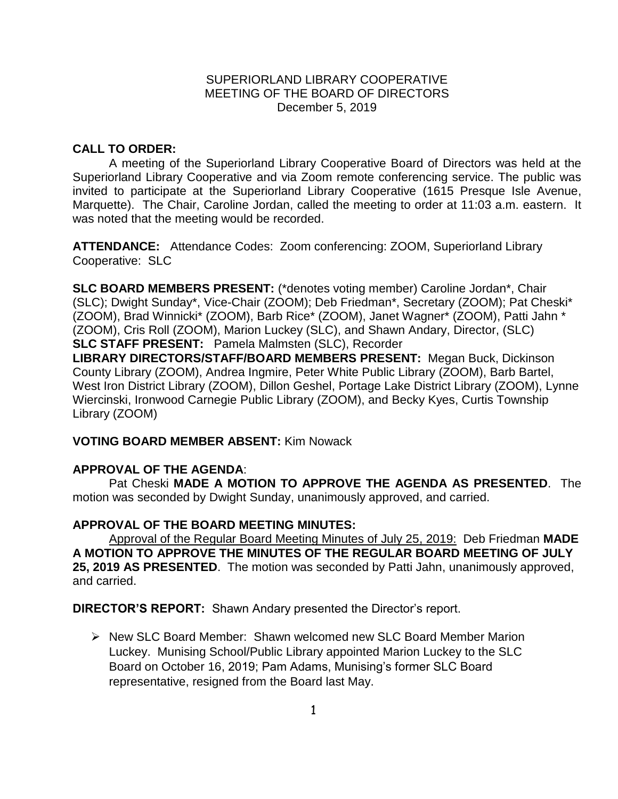### SUPERIORLAND LIBRARY COOPERATIVE MEETING OF THE BOARD OF DIRECTORS December 5, 2019

# **CALL TO ORDER:**

A meeting of the Superiorland Library Cooperative Board of Directors was held at the Superiorland Library Cooperative and via Zoom remote conferencing service. The public was invited to participate at the Superiorland Library Cooperative (1615 Presque Isle Avenue, Marquette). The Chair, Caroline Jordan, called the meeting to order at 11:03 a.m. eastern. It was noted that the meeting would be recorded.

**ATTENDANCE:** Attendance Codes: Zoom conferencing: ZOOM, Superiorland Library Cooperative: SLC

**SLC BOARD MEMBERS PRESENT:** (\*denotes voting member) Caroline Jordan\*, Chair (SLC); Dwight Sunday\*, Vice-Chair (ZOOM); Deb Friedman\*, Secretary (ZOOM); Pat Cheski\* (ZOOM), Brad Winnicki\* (ZOOM), Barb Rice\* (ZOOM), Janet Wagner\* (ZOOM), Patti Jahn \* (ZOOM), Cris Roll (ZOOM), Marion Luckey (SLC), and Shawn Andary, Director, (SLC) **SLC STAFF PRESENT:** Pamela Malmsten (SLC), Recorder

**LIBRARY DIRECTORS/STAFF/BOARD MEMBERS PRESENT:** Megan Buck, Dickinson County Library (ZOOM), Andrea Ingmire, Peter White Public Library (ZOOM), Barb Bartel, West Iron District Library (ZOOM), Dillon Geshel, Portage Lake District Library (ZOOM), Lynne Wiercinski, Ironwood Carnegie Public Library (ZOOM), and Becky Kyes, Curtis Township Library (ZOOM)

# **VOTING BOARD MEMBER ABSENT:** Kim Nowack

# **APPROVAL OF THE AGENDA**:

Pat Cheski **MADE A MOTION TO APPROVE THE AGENDA AS PRESENTED**. The motion was seconded by Dwight Sunday, unanimously approved, and carried.

# **APPROVAL OF THE BOARD MEETING MINUTES:**

Approval of the Regular Board Meeting Minutes of July 25, 2019: Deb Friedman **MADE A MOTION TO APPROVE THE MINUTES OF THE REGULAR BOARD MEETING OF JULY 25, 2019 AS PRESENTED**.The motion was seconded by Patti Jahn, unanimously approved, and carried.

**DIRECTOR'S REPORT:** Shawn Andary presented the Director's report.

 New SLC Board Member: Shawn welcomed new SLC Board Member Marion Luckey. Munising School/Public Library appointed Marion Luckey to the SLC Board on October 16, 2019; Pam Adams, Munising's former SLC Board representative, resigned from the Board last May.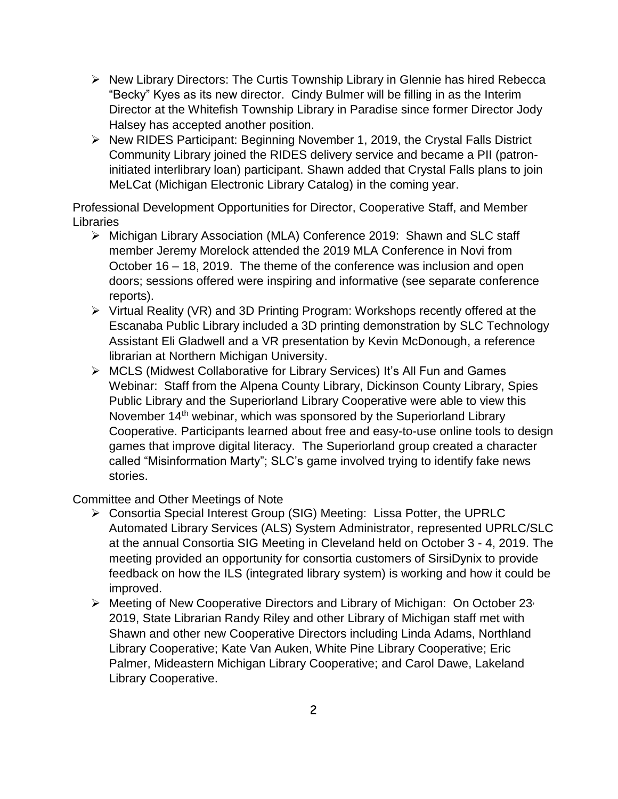- $\triangleright$  New Library Directors: The Curtis Township Library in Glennie has hired Rebecca "Becky" Kyes as its new director. Cindy Bulmer will be filling in as the Interim Director at the Whitefish Township Library in Paradise since former Director Jody Halsey has accepted another position.
- ▶ New RIDES Participant: Beginning November 1, 2019, the Crystal Falls District Community Library joined the RIDES delivery service and became a PII (patroninitiated interlibrary loan) participant. Shawn added that Crystal Falls plans to join MeLCat (Michigan Electronic Library Catalog) in the coming year.

Professional Development Opportunities for Director, Cooperative Staff, and Member Libraries

- Michigan Library Association (MLA) Conference 2019: Shawn and SLC staff member Jeremy Morelock attended the 2019 MLA Conference in Novi from October 16 – 18, 2019. The theme of the conference was inclusion and open doors; sessions offered were inspiring and informative (see separate conference reports).
- $\triangleright$  Virtual Reality (VR) and 3D Printing Program: Workshops recently offered at the Escanaba Public Library included a 3D printing demonstration by SLC Technology Assistant Eli Gladwell and a VR presentation by Kevin McDonough, a reference librarian at Northern Michigan University.
- MCLS (Midwest Collaborative for Library Services) It's All Fun and Games Webinar: Staff from the Alpena County Library, Dickinson County Library, Spies Public Library and the Superiorland Library Cooperative were able to view this November 14<sup>th</sup> webinar, which was sponsored by the Superiorland Library Cooperative. Participants learned about free and easy-to-use online tools to design games that improve digital literacy. The Superiorland group created a character called "Misinformation Marty"; SLC's game involved trying to identify fake news stories.

Committee and Other Meetings of Note

- Consortia Special Interest Group (SIG) Meeting: Lissa Potter, the UPRLC Automated Library Services (ALS) System Administrator, represented UPRLC/SLC at the annual Consortia SIG Meeting in Cleveland held on October 3 - 4, 2019. The meeting provided an opportunity for consortia customers of SirsiDynix to provide feedback on how the ILS (integrated library system) is working and how it could be improved.
- $\triangleright$  Meeting of New Cooperative Directors and Library of Michigan: On October 23, 2019, State Librarian Randy Riley and other Library of Michigan staff met with Shawn and other new Cooperative Directors including Linda Adams, Northland Library Cooperative; Kate Van Auken, White Pine Library Cooperative; Eric Palmer, Mideastern Michigan Library Cooperative; and Carol Dawe, Lakeland Library Cooperative.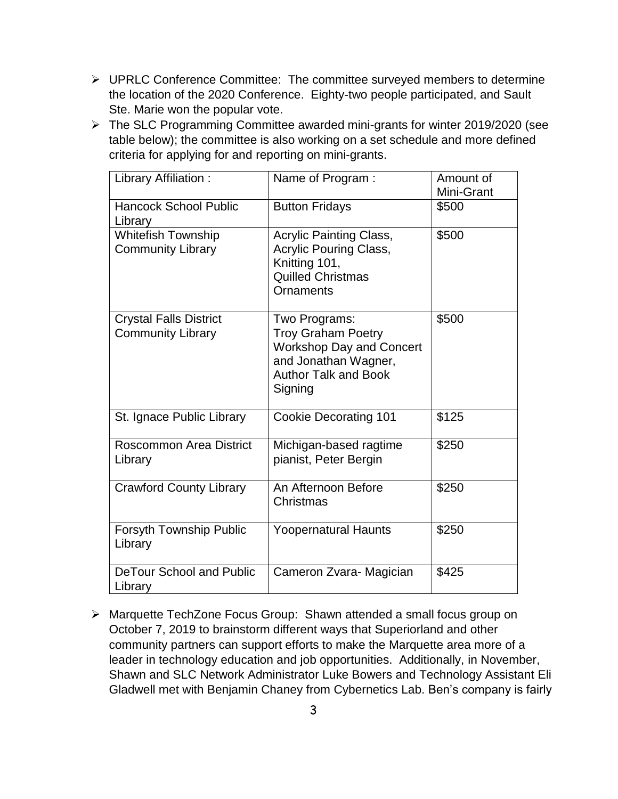- > UPRLC Conference Committee: The committee surveyed members to determine the location of the 2020 Conference. Eighty-two people participated, and Sault Ste. Marie won the popular vote.
- The SLC Programming Committee awarded mini-grants for winter 2019/2020 (see table below); the committee is also working on a set schedule and more defined criteria for applying for and reporting on mini-grants.

| Library Affiliation:                                      | Name of Program :                                                                                                                               | Amount of<br>Mini-Grant |
|-----------------------------------------------------------|-------------------------------------------------------------------------------------------------------------------------------------------------|-------------------------|
| <b>Hancock School Public</b><br>Library                   | <b>Button Fridays</b>                                                                                                                           | \$500                   |
| Whitefish Township<br><b>Community Library</b>            | <b>Acrylic Painting Class,</b><br><b>Acrylic Pouring Class,</b><br>Knitting 101,<br><b>Quilled Christmas</b><br>Ornaments                       | \$500                   |
| <b>Crystal Falls District</b><br><b>Community Library</b> | Two Programs:<br><b>Troy Graham Poetry</b><br><b>Workshop Day and Concert</b><br>and Jonathan Wagner,<br><b>Author Talk and Book</b><br>Signing | \$500                   |
| St. Ignace Public Library                                 | <b>Cookie Decorating 101</b>                                                                                                                    | \$125                   |
| Roscommon Area District<br>Library                        | Michigan-based ragtime<br>pianist, Peter Bergin                                                                                                 | \$250                   |
| <b>Crawford County Library</b>                            | An Afternoon Before<br>Christmas                                                                                                                | \$250                   |
| Forsyth Township Public<br>Library                        | <b>Yoopernatural Haunts</b>                                                                                                                     | \$250                   |
| <b>DeTour School and Public</b><br>Library                | Cameron Zvara- Magician                                                                                                                         | \$425                   |

 Marquette TechZone Focus Group: Shawn attended a small focus group on October 7, 2019 to brainstorm different ways that Superiorland and other community partners can support efforts to make the Marquette area more of a leader in technology education and job opportunities. Additionally, in November, Shawn and SLC Network Administrator Luke Bowers and Technology Assistant Eli Gladwell met with Benjamin Chaney from Cybernetics Lab. Ben's company is fairly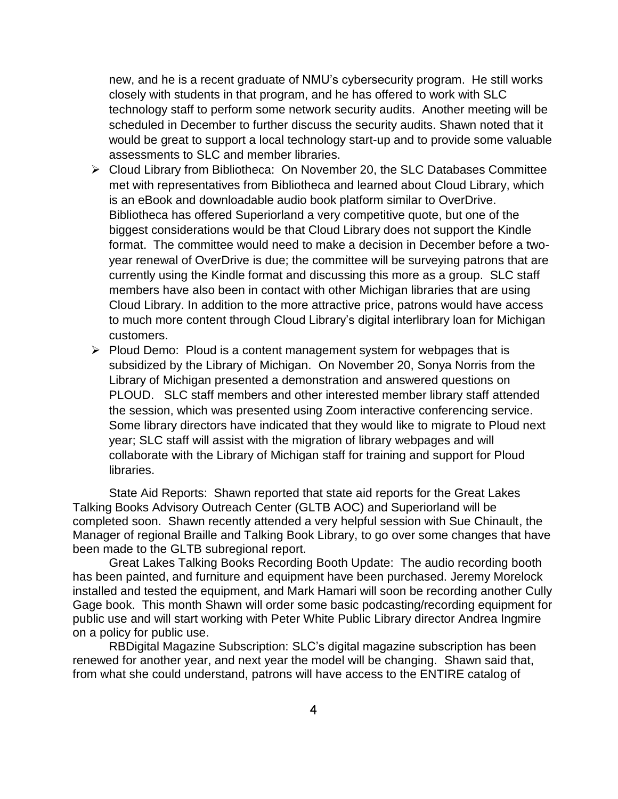new, and he is a recent graduate of NMU's cybersecurity program. He still works closely with students in that program, and he has offered to work with SLC technology staff to perform some network security audits. Another meeting will be scheduled in December to further discuss the security audits. Shawn noted that it would be great to support a local technology start-up and to provide some valuable assessments to SLC and member libraries.

- Cloud Library from Bibliotheca: On November 20, the SLC Databases Committee met with representatives from Bibliotheca and learned about Cloud Library, which is an eBook and downloadable audio book platform similar to OverDrive. Bibliotheca has offered Superiorland a very competitive quote, but one of the biggest considerations would be that Cloud Library does not support the Kindle format. The committee would need to make a decision in December before a twoyear renewal of OverDrive is due; the committee will be surveying patrons that are currently using the Kindle format and discussing this more as a group. SLC staff members have also been in contact with other Michigan libraries that are using Cloud Library. In addition to the more attractive price, patrons would have access to much more content through Cloud Library's digital interlibrary loan for Michigan customers.
- $\triangleright$  Ploud Demo: Ploud is a content management system for webpages that is subsidized by the Library of Michigan. On November 20, Sonya Norris from the Library of Michigan presented a demonstration and answered questions on PLOUD. SLC staff members and other interested member library staff attended the session, which was presented using Zoom interactive conferencing service. Some library directors have indicated that they would like to migrate to Ploud next year; SLC staff will assist with the migration of library webpages and will collaborate with the Library of Michigan staff for training and support for Ploud libraries.

State Aid Reports: Shawn reported that state aid reports for the Great Lakes Talking Books Advisory Outreach Center (GLTB AOC) and Superiorland will be completed soon. Shawn recently attended a very helpful session with Sue Chinault, the Manager of regional Braille and Talking Book Library, to go over some changes that have been made to the GLTB subregional report.

Great Lakes Talking Books Recording Booth Update: The audio recording booth has been painted, and furniture and equipment have been purchased. Jeremy Morelock installed and tested the equipment, and Mark Hamari will soon be recording another Cully Gage book. This month Shawn will order some basic podcasting/recording equipment for public use and will start working with Peter White Public Library director Andrea Ingmire on a policy for public use.

RBDigital Magazine Subscription: SLC's digital magazine subscription has been renewed for another year, and next year the model will be changing. Shawn said that, from what she could understand, patrons will have access to the ENTIRE catalog of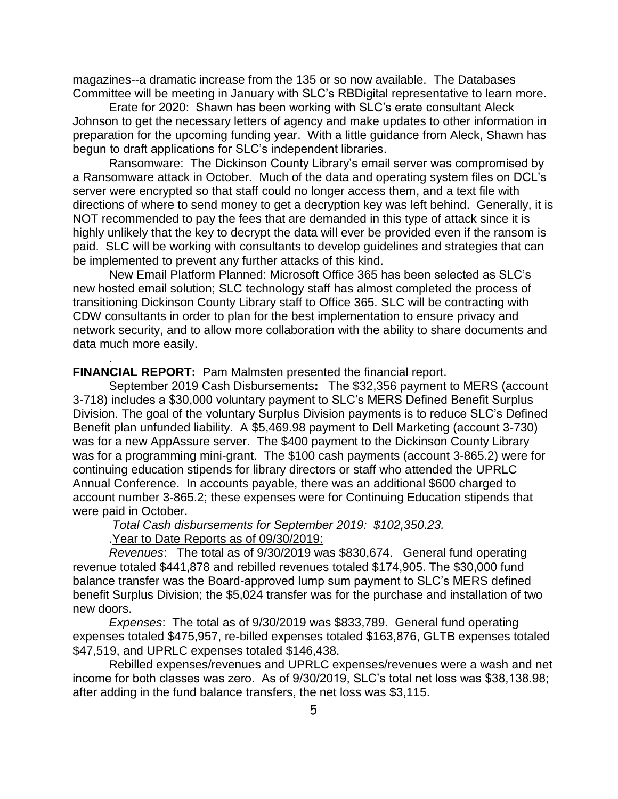magazines--a dramatic increase from the 135 or so now available. The Databases Committee will be meeting in January with SLC's RBDigital representative to learn more.

Erate for 2020: Shawn has been working with SLC's erate consultant Aleck Johnson to get the necessary letters of agency and make updates to other information in preparation for the upcoming funding year. With a little guidance from Aleck, Shawn has begun to draft applications for SLC's independent libraries.

Ransomware: The Dickinson County Library's email server was compromised by a Ransomware attack in October. Much of the data and operating system files on DCL's server were encrypted so that staff could no longer access them, and a text file with directions of where to send money to get a decryption key was left behind. Generally, it is NOT recommended to pay the fees that are demanded in this type of attack since it is highly unlikely that the key to decrypt the data will ever be provided even if the ransom is paid. SLC will be working with consultants to develop guidelines and strategies that can be implemented to prevent any further attacks of this kind.

New Email Platform Planned: Microsoft Office 365 has been selected as SLC's new hosted email solution; SLC technology staff has almost completed the process of transitioning Dickinson County Library staff to Office 365. SLC will be contracting with CDW consultants in order to plan for the best implementation to ensure privacy and network security, and to allow more collaboration with the ability to share documents and data much more easily.

#### **FINANCIAL REPORT:** Pam Malmsten presented the financial report.

September 2019 Cash Disbursements**:** The \$32,356 payment to MERS (account 3-718) includes a \$30,000 voluntary payment to SLC's MERS Defined Benefit Surplus Division. The goal of the voluntary Surplus Division payments is to reduce SLC's Defined Benefit plan unfunded liability. A \$5,469.98 payment to Dell Marketing (account 3-730) was for a new AppAssure server. The \$400 payment to the Dickinson County Library was for a programming mini-grant. The \$100 cash payments (account 3-865.2) were for continuing education stipends for library directors or staff who attended the UPRLC Annual Conference. In accounts payable, there was an additional \$600 charged to account number 3-865.2; these expenses were for Continuing Education stipends that were paid in October.

*Total Cash disbursements for September 2019: \$102,350.23.*

.Year to Date Reports as of 09/30/2019:

.

*Revenues*: The total as of 9/30/2019 was \$830,674. General fund operating revenue totaled \$441,878 and rebilled revenues totaled \$174,905. The \$30,000 fund balance transfer was the Board-approved lump sum payment to SLC's MERS defined benefit Surplus Division; the \$5,024 transfer was for the purchase and installation of two new doors.

*Expenses*: The total as of 9/30/2019 was \$833,789. General fund operating expenses totaled \$475,957, re-billed expenses totaled \$163,876, GLTB expenses totaled \$47,519, and UPRLC expenses totaled \$146,438.

Rebilled expenses/revenues and UPRLC expenses/revenues were a wash and net income for both classes was zero. As of 9/30/2019, SLC's total net loss was \$38,138.98; after adding in the fund balance transfers, the net loss was \$3,115.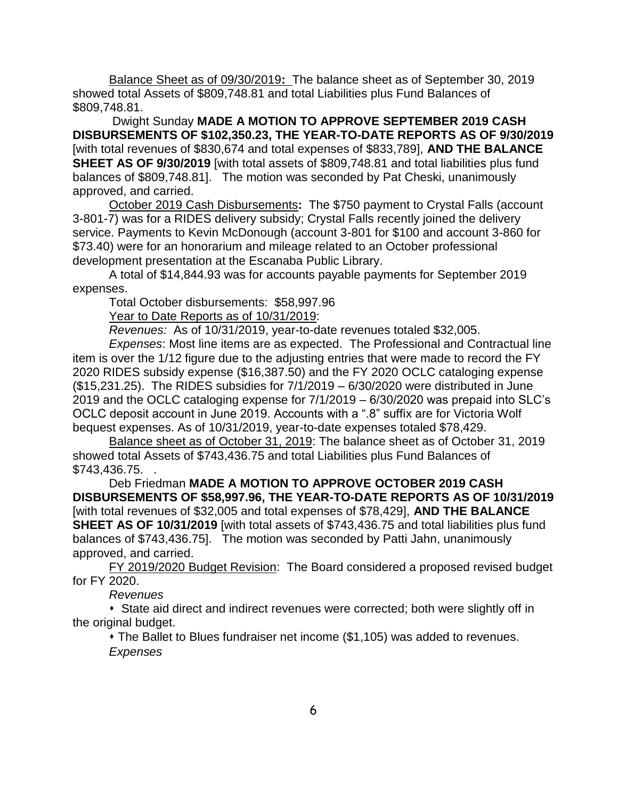Balance Sheet as of 09/30/2019**:** The balance sheet as of September 30, 2019 showed total Assets of \$809,748.81 and total Liabilities plus Fund Balances of \$809,748.81.

Dwight Sunday **MADE A MOTION TO APPROVE SEPTEMBER 2019 CASH DISBURSEMENTS OF \$102,350.23, THE YEAR-TO-DATE REPORTS AS OF 9/30/2019**  [with total revenues of \$830,674 and total expenses of \$833,789], **AND THE BALANCE SHEET AS OF 9/30/2019** [with total assets of \$809,748.81 and total liabilities plus fund balances of \$809,748.81]. The motion was seconded by Pat Cheski, unanimously approved, and carried.

October 2019 Cash Disbursements**:** The \$750 payment to Crystal Falls (account 3-801-7) was for a RIDES delivery subsidy; Crystal Falls recently joined the delivery service. Payments to Kevin McDonough (account 3-801 for \$100 and account 3-860 for \$73.40) were for an honorarium and mileage related to an October professional development presentation at the Escanaba Public Library.

A total of \$14,844.93 was for accounts payable payments for September 2019 expenses.

Total October disbursements: \$58,997.96

Year to Date Reports as of 10/31/2019:

*Revenues:* As of 10/31/2019, year-to-date revenues totaled \$32,005.

*Expenses*: Most line items are as expected. The Professional and Contractual line item is over the 1/12 figure due to the adjusting entries that were made to record the FY 2020 RIDES subsidy expense (\$16,387.50) and the FY 2020 OCLC cataloging expense (\$15,231.25). The RIDES subsidies for 7/1/2019 – 6/30/2020 were distributed in June 2019 and the OCLC cataloging expense for 7/1/2019 – 6/30/2020 was prepaid into SLC's OCLC deposit account in June 2019. Accounts with a ".8" suffix are for Victoria Wolf bequest expenses. As of 10/31/2019, year-to-date expenses totaled \$78,429.

Balance sheet as of October 31, 2019: The balance sheet as of October 31, 2019 showed total Assets of \$743,436.75 and total Liabilities plus Fund Balances of \$743,436.75. .

Deb Friedman **MADE A MOTION TO APPROVE OCTOBER 2019 CASH DISBURSEMENTS OF \$58,997.96, THE YEAR-TO-DATE REPORTS AS OF 10/31/2019**  [with total revenues of \$32,005 and total expenses of \$78,429], **AND THE BALANCE SHEET AS OF 10/31/2019** [with total assets of \$743,436.75 and total liabilities plus fund balances of \$743,436.75]. The motion was seconded by Patti Jahn, unanimously approved, and carried.

FY 2019/2020 Budget Revision: The Board considered a proposed revised budget for FY 2020.

*Revenues*

 State aid direct and indirect revenues were corrected; both were slightly off in the original budget.

 The Ballet to Blues fundraiser net income (\$1,105) was added to revenues. *Expenses*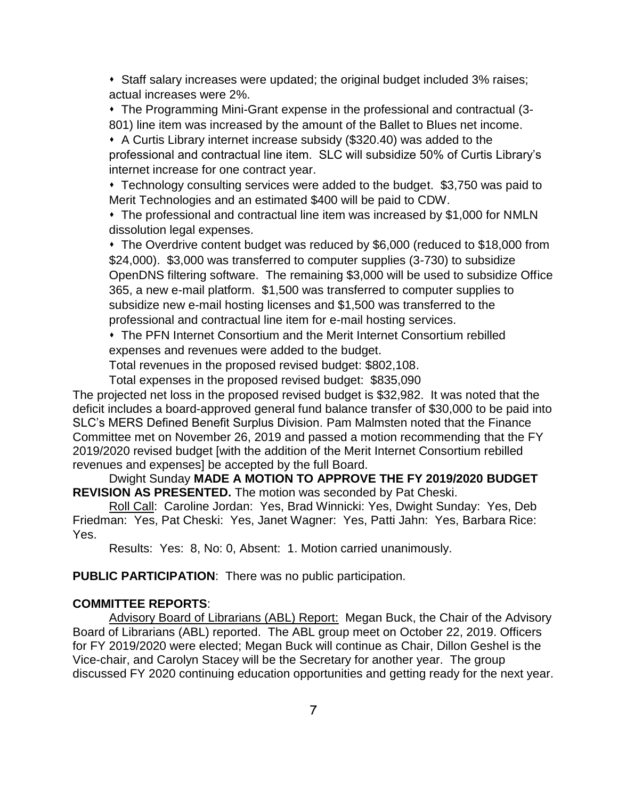• Staff salary increases were updated; the original budget included 3% raises; actual increases were 2%.

 The Programming Mini-Grant expense in the professional and contractual (3- 801) line item was increased by the amount of the Ballet to Blues net income.

 A Curtis Library internet increase subsidy (\$320.40) was added to the professional and contractual line item. SLC will subsidize 50% of Curtis Library's internet increase for one contract year.

 Technology consulting services were added to the budget. \$3,750 was paid to Merit Technologies and an estimated \$400 will be paid to CDW.

 The professional and contractual line item was increased by \$1,000 for NMLN dissolution legal expenses.

 The Overdrive content budget was reduced by \$6,000 (reduced to \$18,000 from \$24,000). \$3,000 was transferred to computer supplies (3-730) to subsidize OpenDNS filtering software. The remaining \$3,000 will be used to subsidize Office 365, a new e-mail platform. \$1,500 was transferred to computer supplies to subsidize new e-mail hosting licenses and \$1,500 was transferred to the professional and contractual line item for e-mail hosting services.

 The PFN Internet Consortium and the Merit Internet Consortium rebilled expenses and revenues were added to the budget.

Total revenues in the proposed revised budget: \$802,108.

Total expenses in the proposed revised budget: \$835,090

The projected net loss in the proposed revised budget is \$32,982. It was noted that the deficit includes a board-approved general fund balance transfer of \$30,000 to be paid into SLC's MERS Defined Benefit Surplus Division. Pam Malmsten noted that the Finance Committee met on November 26, 2019 and passed a motion recommending that the FY 2019/2020 revised budget [with the addition of the Merit Internet Consortium rebilled revenues and expenses] be accepted by the full Board.

# Dwight Sunday **MADE A MOTION TO APPROVE THE FY 2019/2020 BUDGET REVISION AS PRESENTED.** The motion was seconded by Pat Cheski.

Roll Call: Caroline Jordan: Yes, Brad Winnicki: Yes, Dwight Sunday: Yes, Deb Friedman: Yes, Pat Cheski: Yes, Janet Wagner: Yes, Patti Jahn: Yes, Barbara Rice: Yes.

Results: Yes: 8, No: 0, Absent: 1. Motion carried unanimously.

**PUBLIC PARTICIPATION**: There was no public participation.

# **COMMITTEE REPORTS**:

Advisory Board of Librarians (ABL) Report: Megan Buck, the Chair of the Advisory Board of Librarians (ABL) reported. The ABL group meet on October 22, 2019. Officers for FY 2019/2020 were elected; Megan Buck will continue as Chair, Dillon Geshel is the Vice-chair, and Carolyn Stacey will be the Secretary for another year. The group discussed FY 2020 continuing education opportunities and getting ready for the next year.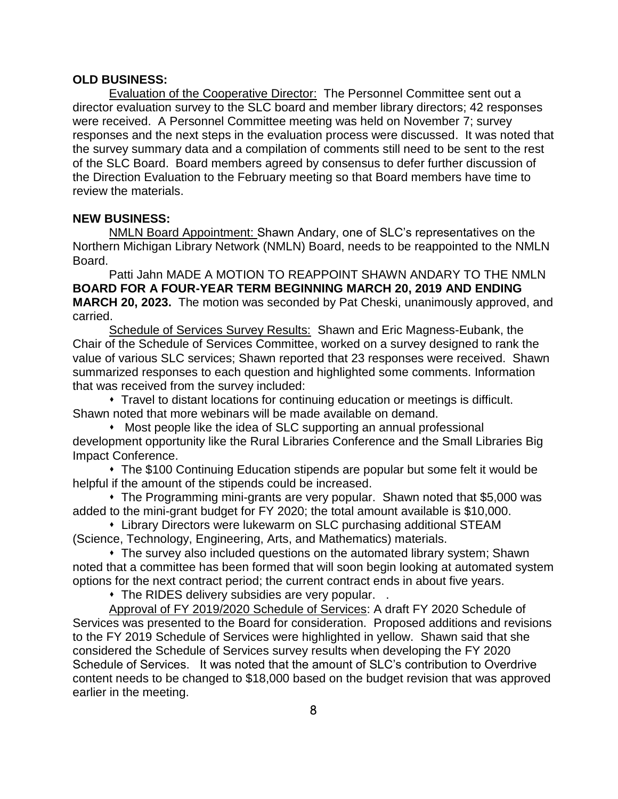### **OLD BUSINESS:**

Evaluation of the Cooperative Director: The Personnel Committee sent out a director evaluation survey to the SLC board and member library directors; 42 responses were received. A Personnel Committee meeting was held on November 7; survey responses and the next steps in the evaluation process were discussed. It was noted that the survey summary data and a compilation of comments still need to be sent to the rest of the SLC Board. Board members agreed by consensus to defer further discussion of the Direction Evaluation to the February meeting so that Board members have time to review the materials.

#### **NEW BUSINESS:**

NMLN Board Appointment: Shawn Andary, one of SLC's representatives on the Northern Michigan Library Network (NMLN) Board, needs to be reappointed to the NMLN Board.

Patti Jahn MADE A MOTION TO REAPPOINT SHAWN ANDARY TO THE NMLN **BOARD FOR A FOUR-YEAR TERM BEGINNING MARCH 20, 2019 AND ENDING MARCH 20, 2023.** The motion was seconded by Pat Cheski, unanimously approved, and carried.

Schedule of Services Survey Results: Shawn and Eric Magness-Eubank, the Chair of the Schedule of Services Committee, worked on a survey designed to rank the value of various SLC services; Shawn reported that 23 responses were received. Shawn summarized responses to each question and highlighted some comments. Information that was received from the survey included:

 Travel to distant locations for continuing education or meetings is difficult. Shawn noted that more webinars will be made available on demand.

 Most people like the idea of SLC supporting an annual professional development opportunity like the Rural Libraries Conference and the Small Libraries Big Impact Conference.

 The \$100 Continuing Education stipends are popular but some felt it would be helpful if the amount of the stipends could be increased.

 The Programming mini-grants are very popular. Shawn noted that \$5,000 was added to the mini-grant budget for FY 2020; the total amount available is \$10,000.

 Library Directors were lukewarm on SLC purchasing additional STEAM (Science, Technology, Engineering, Arts, and Mathematics) materials.

 The survey also included questions on the automated library system; Shawn noted that a committee has been formed that will soon begin looking at automated system options for the next contract period; the current contract ends in about five years.

The RIDES delivery subsidies are very popular. .

Approval of FY 2019/2020 Schedule of Services: A draft FY 2020 Schedule of Services was presented to the Board for consideration. Proposed additions and revisions to the FY 2019 Schedule of Services were highlighted in yellow. Shawn said that she considered the Schedule of Services survey results when developing the FY 2020 Schedule of Services. It was noted that the amount of SLC's contribution to Overdrive content needs to be changed to \$18,000 based on the budget revision that was approved earlier in the meeting.